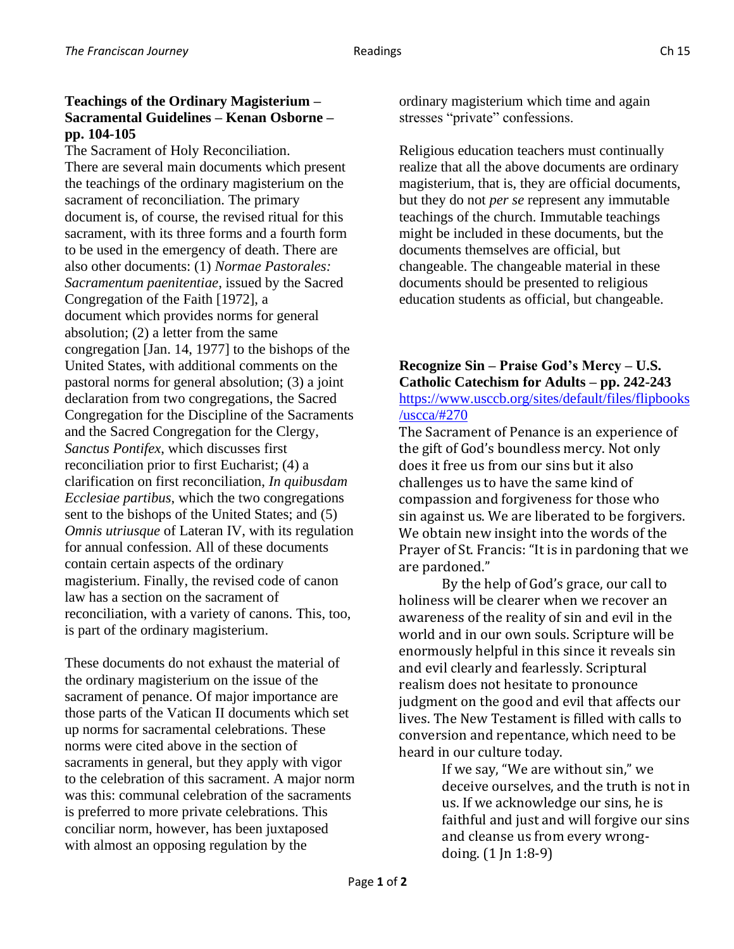## **Teachings of the Ordinary Magisterium – Sacramental Guidelines – Kenan Osborne – pp. 104-105**

The Sacrament of Holy Reconciliation. There are several main documents which present the teachings of the ordinary magisterium on the sacrament of reconciliation. The primary document is, of course, the revised ritual for this sacrament, with its three forms and a fourth form to be used in the emergency of death. There are also other documents: (1) *Normae Pastorales: Sacramentum paenitentiae*, issued by the Sacred Congregation of the Faith [1972], a document which provides norms for general absolution; (2) a letter from the same congregation [Jan. 14, 1977] to the bishops of the United States, with additional comments on the pastoral norms for general absolution; (3) a joint declaration from two congregations, the Sacred Congregation for the Discipline of the Sacraments and the Sacred Congregation for the Clergy, *Sanctus Pontifex*, which discusses first reconciliation prior to first Eucharist; (4) a clarification on first reconciliation, *In quibusdam Ecclesiae partibus*, which the two congregations sent to the bishops of the United States; and (5) *Omnis utriusque* of Lateran IV, with its regulation for annual confession. All of these documents contain certain aspects of the ordinary magisterium. Finally, the revised code of canon law has a section on the sacrament of reconciliation, with a variety of canons. This, too, is part of the ordinary magisterium.

These documents do not exhaust the material of the ordinary magisterium on the issue of the sacrament of penance. Of major importance are those parts of the Vatican II documents which set up norms for sacramental celebrations. These norms were cited above in the section of sacraments in general, but they apply with vigor to the celebration of this sacrament. A major norm was this: communal celebration of the sacraments is preferred to more private celebrations. This conciliar norm, however, has been juxtaposed with almost an opposing regulation by the

ordinary magisterium which time and again stresses "private" confessions.

Religious education teachers must continually realize that all the above documents are ordinary magisterium, that is, they are official documents, but they do not *per se* represent any immutable teachings of the church. Immutable teachings might be included in these documents, but the documents themselves are official, but changeable. The changeable material in these documents should be presented to religious education students as official, but changeable.

## **Recognize Sin – Praise God's Mercy – U.S. Catholic Catechism for Adults – pp. 242-243** [https://www.usccb.org/sites/default/files/flipbooks](https://www.usccb.org/sites/default/files/flipbooks/uscca/#270) [/uscca/#270](https://www.usccb.org/sites/default/files/flipbooks/uscca/#270)

The Sacrament of Penance is an experience of the gift of God's boundless mercy. Not only does it free us from our sins but it also challenges us to have the same kind of compassion and forgiveness for those who sin against us. We are liberated to be forgivers. We obtain new insight into the words of the Prayer of St. Francis: "It is in pardoning that we are pardoned."

By the help of God's grace, our call to holiness will be clearer when we recover an awareness of the reality of sin and evil in the world and in our own souls. Scripture will be enormously helpful in this since it reveals sin and evil clearly and fearlessly. Scriptural realism does not hesitate to pronounce judgment on the good and evil that affects our lives. The New Testament is filled with calls to conversion and repentance, which need to be heard in our culture today.

If we say, "We are without sin," we deceive ourselves, and the truth is not in us. If we acknowledge our sins, he is faithful and just and will forgive our sins and cleanse us from every wrongdoing. (1 Jn 1:8-9)